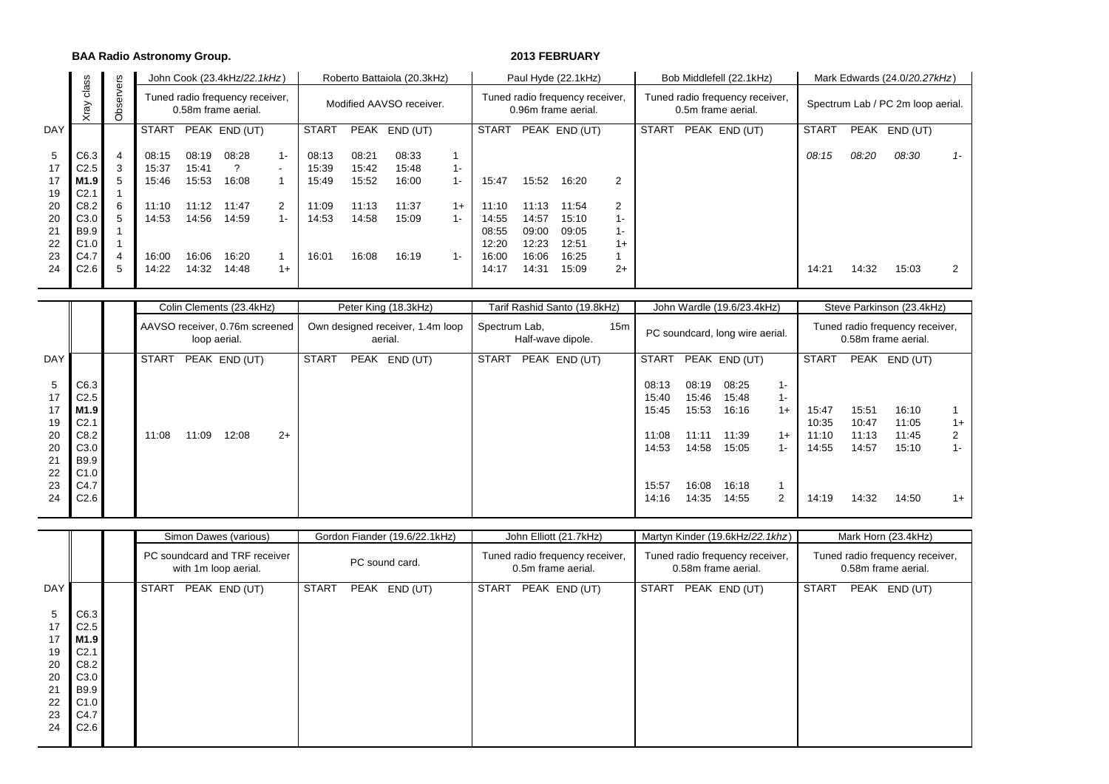#### **BAA Radio Astronomy Group. 2013 FEBRUARY**

|                     | SS                                                   | 5,                       |                         |                         | John Cook (23.4kHz/22.1kHz)                            |                                   |                         |                         | Roberto Battaiola (20.3kHz) |                |                |                                                        | Paul Hyde (22.1kHz) |       |                                                       | Bob Middlefell (22.1kHz)          | Mark Edwards (24.0/20.27kHz) |       |               |       |  |
|---------------------|------------------------------------------------------|--------------------------|-------------------------|-------------------------|--------------------------------------------------------|-----------------------------------|-------------------------|-------------------------|-----------------------------|----------------|----------------|--------------------------------------------------------|---------------------|-------|-------------------------------------------------------|-----------------------------------|------------------------------|-------|---------------|-------|--|
|                     | .<br>ප<br>⋋<br>σ                                     | server<br>ä              |                         |                         | Tuned radio frequency receiver,<br>0.58m frame aerial. |                                   |                         |                         | Modified AAVSO receiver.    |                |                | Tuned radio frequency receiver,<br>0.96m frame aerial. |                     |       | Tuned radio frequency receiver,<br>0.5m frame aerial. | Spectrum Lab / PC 2m loop aerial. |                              |       |               |       |  |
| <b>DAY</b>          |                                                      |                          | <b>START</b>            |                         | PEAK END (UT)                                          |                                   | START                   |                         | PEAK END (UT)               |                | START          |                                                        | PEAK END (UT)       |       | <b>START</b>                                          | PEAK END (UT)                     | <b>START</b>                 |       | PEAK END (UT) |       |  |
| 5<br>17<br>17<br>19 | C6.3<br>C <sub>2.5</sub><br>M1.9<br>C <sub>2.1</sub> | $\overline{4}$<br>3<br>5 | 08:15<br>15:37<br>15:46 | 08:19<br>15:41<br>15:53 | 08:28<br>16:08                                         | $1 -$<br>$\overline{\phantom{a}}$ | 08:13<br>15:39<br>15:49 | 08:21<br>15:42<br>15:52 | 08:33<br>15:48<br>16:00     | $1 -$<br>$1 -$ | 15:47          | 15:52                                                  | 16:20               | 2     |                                                       |                                   | 08:15                        | 08:20 | 08:30         | $1 -$ |  |
| 20                  | C8.2                                                 | 6                        | 11:10                   | 11:12                   | 11:47                                                  | 2                                 | 11:09                   | 11:13                   | 11:37                       | $1+$           | 11:10          | 11:13                                                  | 11:54               | 2     |                                                       |                                   |                              |       |               |       |  |
| 20                  | C3.0                                                 | 5                        | 14:53                   | 14:56                   | 14:59                                                  |                                   | 14:53                   | 14:58                   | 15:09                       |                | 14:55          | 14:57                                                  | 15:10               | $1 -$ |                                                       |                                   |                              |       |               |       |  |
| 21                  | <b>B</b> 9.9                                         |                          |                         |                         |                                                        |                                   |                         |                         |                             |                | 08:55          | 09:00                                                  | 09:05               | 1-    |                                                       |                                   |                              |       |               |       |  |
| 22                  | C1.0                                                 |                          |                         |                         |                                                        |                                   |                         |                         |                             |                | 12:20          | 12:23                                                  | 12:51               | $1+$  |                                                       |                                   |                              |       |               |       |  |
| 23<br>24            | C4.7<br>C2.6                                         | 4<br>5                   | 16:00<br>14:22          | 16:06<br>14:32          | 16:20<br>14:48                                         | $1+$                              | 16:01                   | 16:08                   | 16:19                       | $1 -$          | 16:00<br>14:17 | 16:06<br>14:31                                         | 16:25<br>15:09      | $2+$  |                                                       |                                   | 14:21                        | 14:32 | 15:03         | 2     |  |
|                     |                                                      |                          |                         |                         |                                                        |                                   |                         |                         |                             |                |                |                                                        |                     |       |                                                       |                                   |                              |       |               |       |  |

|                                                         |                                                                                                             |                                                |       | Colin Clements (23.4kHz) |      |       |                                             | Peter King (18.3kHz) |                   | Tarif Rashid Santo (19.8kHz) |  |                                                             |                                                             | John Wardle (19.6/23.4kHz)                                  |                                                        | Steve Parkinson (23.4kHz)                 |                                           |                                           |                            |  |  |
|---------------------------------------------------------|-------------------------------------------------------------------------------------------------------------|------------------------------------------------|-------|--------------------------|------|-------|---------------------------------------------|----------------------|-------------------|------------------------------|--|-------------------------------------------------------------|-------------------------------------------------------------|-------------------------------------------------------------|--------------------------------------------------------|-------------------------------------------|-------------------------------------------|-------------------------------------------|----------------------------|--|--|
|                                                         |                                                                                                             | AAVSO receiver, 0.76m screened<br>loop aerial. |       |                          |      |       | Own designed receiver, 1.4m loop<br>aerial. | Spectrum Lab,        | Half-wave dipole. | 15m                          |  |                                                             | PC soundcard, long wire aerial.                             |                                                             | Tuned radio frequency receiver,<br>0.58m frame aerial. |                                           |                                           |                                           |                            |  |  |
| <b>DAY</b>                                              |                                                                                                             | <b>START</b>                                   |       | PEAK END (UT)            |      | START |                                             | PEAK END (UT)        | <b>START</b>      | PEAK END (UT)                |  | <b>START</b>                                                |                                                             | PEAK END (UT)                                               |                                                        | START                                     |                                           | PEAK END (UT)                             |                            |  |  |
| 5<br>17<br>17<br>19<br>20<br>20<br>21<br>22<br>23<br>24 | C6.3<br>C <sub>2.5</sub><br>M1.9<br>C <sub>2.1</sub><br>C8.2<br>C3.0<br><b>B9.9</b><br>C1.0<br>C4.7<br>C2.6 | 11:08                                          | 11:09 | 12:08                    | $2+$ |       |                                             |                      |                   |                              |  | 08:13<br>15:40<br>15:45<br>11:08<br>14:53<br>15:57<br>14:16 | 08:19<br>15:46<br>15:53<br>11:11<br>14:58<br>16:08<br>14:35 | 08:25<br>15:48<br>16:16<br>11:39<br>15:05<br>16:18<br>14:55 | $1 -$<br>1-<br>$1+$<br>$1+$<br>1-<br>2                 | 15:47<br>10:35<br>11:10<br>14:55<br>14:19 | 15:51<br>10:47<br>11:13<br>14:57<br>14:32 | 16:10<br>11:05<br>11:45<br>15:10<br>14:50 | $1+$<br>2<br>$1 -$<br>$1+$ |  |  |

|                                                         |                                                                                                             |       | Simon Dawes (various)                                 |              | Gordon Fiander (19.6/22.1kHz) |              | John Elliott (21.7kHz)                                |              | Martyn Kinder (19.6kHz/22.1khz)                        | Mark Horn (23.4kHz) |                                                        |               |  |  |  |
|---------------------------------------------------------|-------------------------------------------------------------------------------------------------------------|-------|-------------------------------------------------------|--------------|-------------------------------|--------------|-------------------------------------------------------|--------------|--------------------------------------------------------|---------------------|--------------------------------------------------------|---------------|--|--|--|
|                                                         |                                                                                                             |       | PC soundcard and TRF receiver<br>with 1m loop aerial. |              | PC sound card.                |              | Tuned radio frequency receiver,<br>0.5m frame aerial. |              | Tuned radio frequency receiver,<br>0.58m frame aerial. |                     | Tuned radio frequency receiver,<br>0.58m frame aerial. |               |  |  |  |
| <b>DAY</b>                                              |                                                                                                             | START | PEAK END (UT)                                         | <b>START</b> | PEAK END (UT)                 | <b>START</b> | PEAK END (UT)                                         | <b>START</b> | PEAK END (UT)                                          | <b>START</b>        |                                                        | PEAK END (UT) |  |  |  |
| 5<br>17<br>17<br>19<br>20<br>20<br>21<br>22<br>23<br>24 | C6.3<br>C <sub>2.5</sub><br>M1.9<br>C <sub>2.1</sub><br>C8.2<br>C3.0<br><b>B9.9</b><br>C1.0<br>C4.7<br>C2.6 |       |                                                       |              |                               |              |                                                       |              |                                                        |                     |                                                        |               |  |  |  |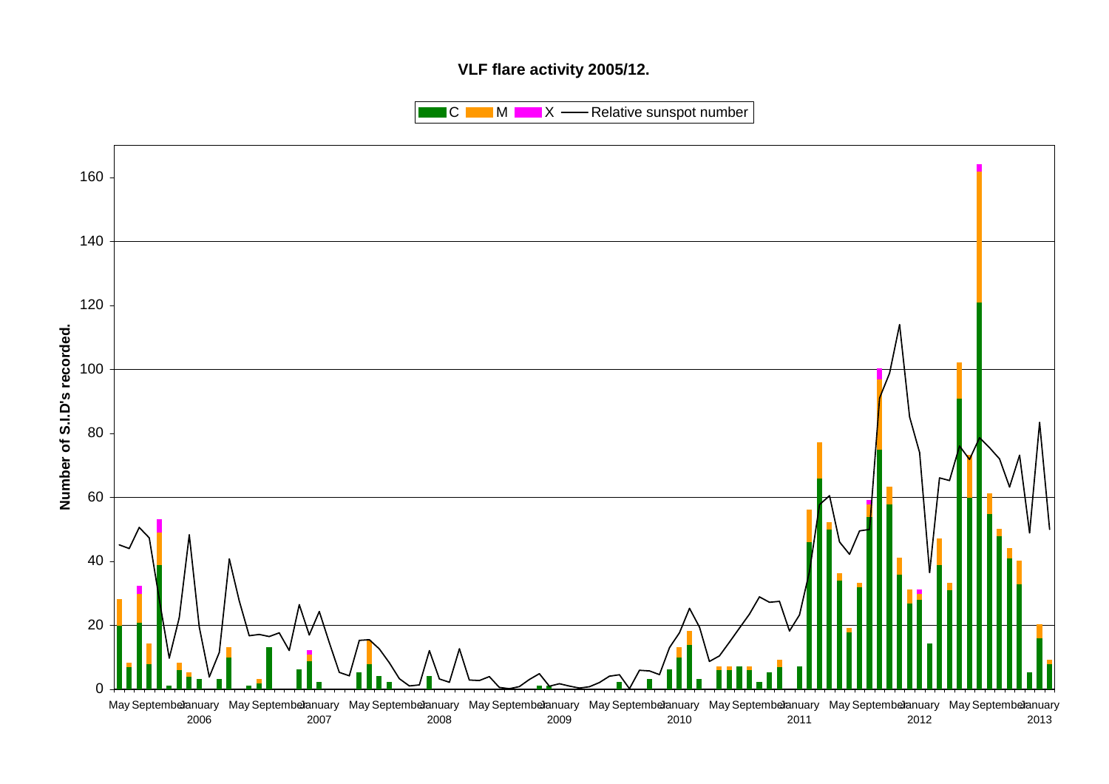## **VLF flare activity 2005/12.**

 $\blacksquare$  C  $\blacksquare$  M  $\blacksquare$   $\blacksquare$  X  $\blacksquare$  Relative sunspot number

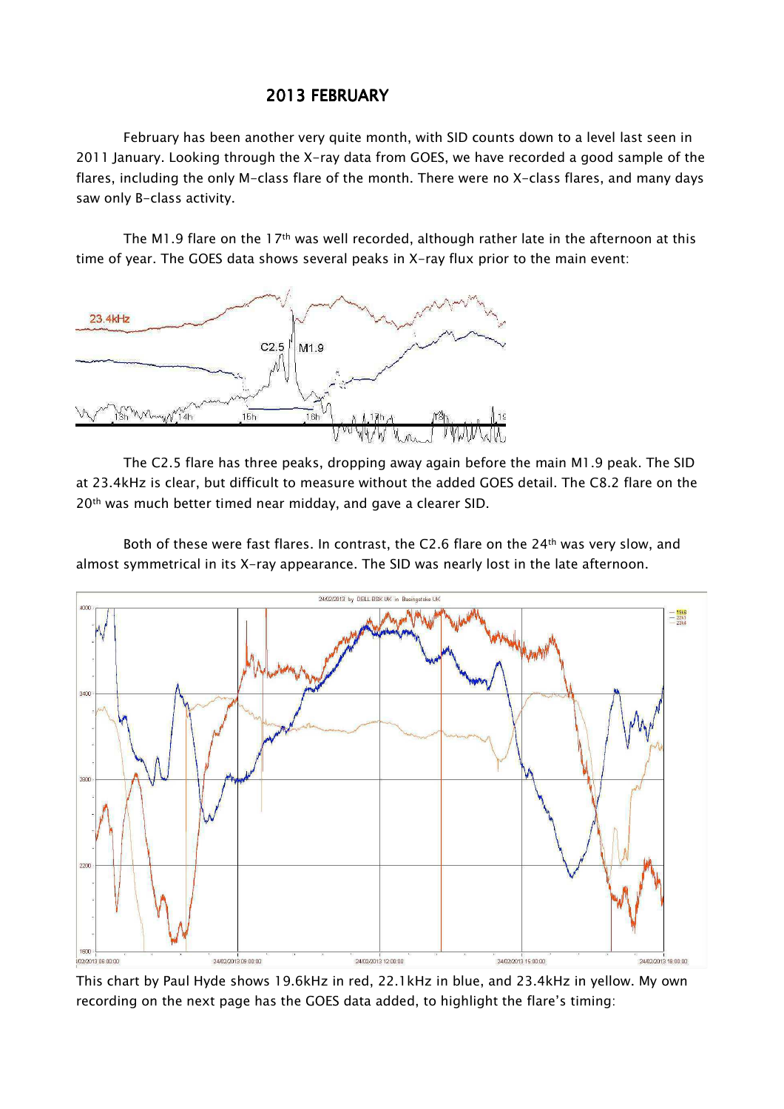# 2013 FEBRUARY

February has been another very quite month, with SID counts down to a level last seen in 2011 January. Looking through the X-ray data from GOES, we have recorded a good sample of the flares, including the only M-class flare of the month. There were no X-class flares, and many days saw only B-class activity.

The M1.9 flare on the 17<sup>th</sup> was well recorded, although rather late in the afternoon at this time of year. The GOES data shows several peaks in X-ray flux prior to the main event:



The C2.5 flare has three peaks, dropping away again before the main M1.9 peak. The SID at 23.4kHz is clear, but difficult to measure without the added GOES detail. The C8.2 flare on the 20<sup>th</sup> was much better timed near midday, and gave a clearer SID.

Both of these were fast flares. In contrast, the C2.6 flare on the 24th was very slow, and almost symmetrical in its X-ray appearance. The SID was nearly lost in the late afternoon.



This chart by Paul Hyde shows 19.6kHz in red, 22.1kHz in blue, and 23.4kHz in yellow. My own recording on the next page has the GOES data added, to highlight the flare's timing: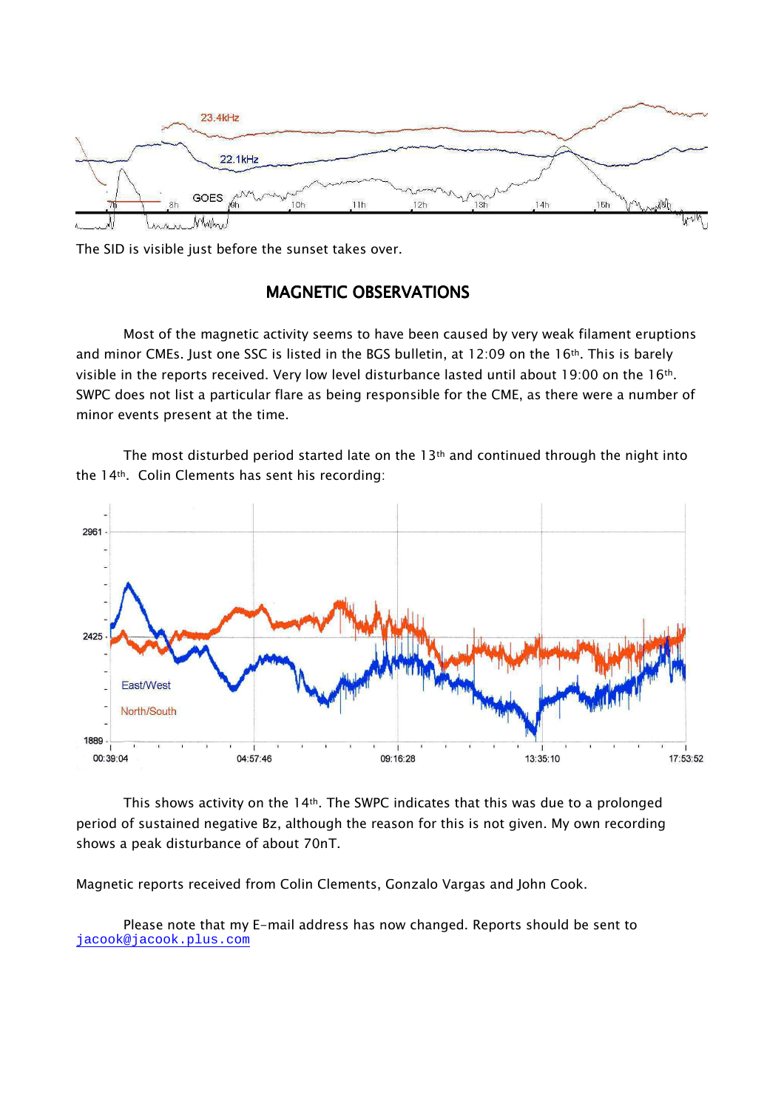

The SID is visible just before the sunset takes over.

### MAGNETIC OBSERVATIONS

Most of the magnetic activity seems to have been caused by very weak filament eruptions and minor CMEs. Just one SSC is listed in the BGS bulletin, at 12:09 on the 16<sup>th</sup>. This is barely visible in the reports received. Very low level disturbance lasted until about 19:00 on the 16<sup>th</sup>. SWPC does not list a particular flare as being responsible for the CME, as there were a number of minor events present at the time.

The most disturbed period started late on the  $13<sup>th</sup>$  and continued through the night into the 14th. Colin Clements has sent his recording:



This shows activity on the 14th. The SWPC indicates that this was due to a prolonged period of sustained negative Bz, although the reason for this is not given. My own recording shows a peak disturbance of about 70nT.

Magnetic reports received from Colin Clements, Gonzalo Vargas and John Cook.

Please note that my E-mail address has now changed. Reports should be sent to jacook@jacook.plus.com